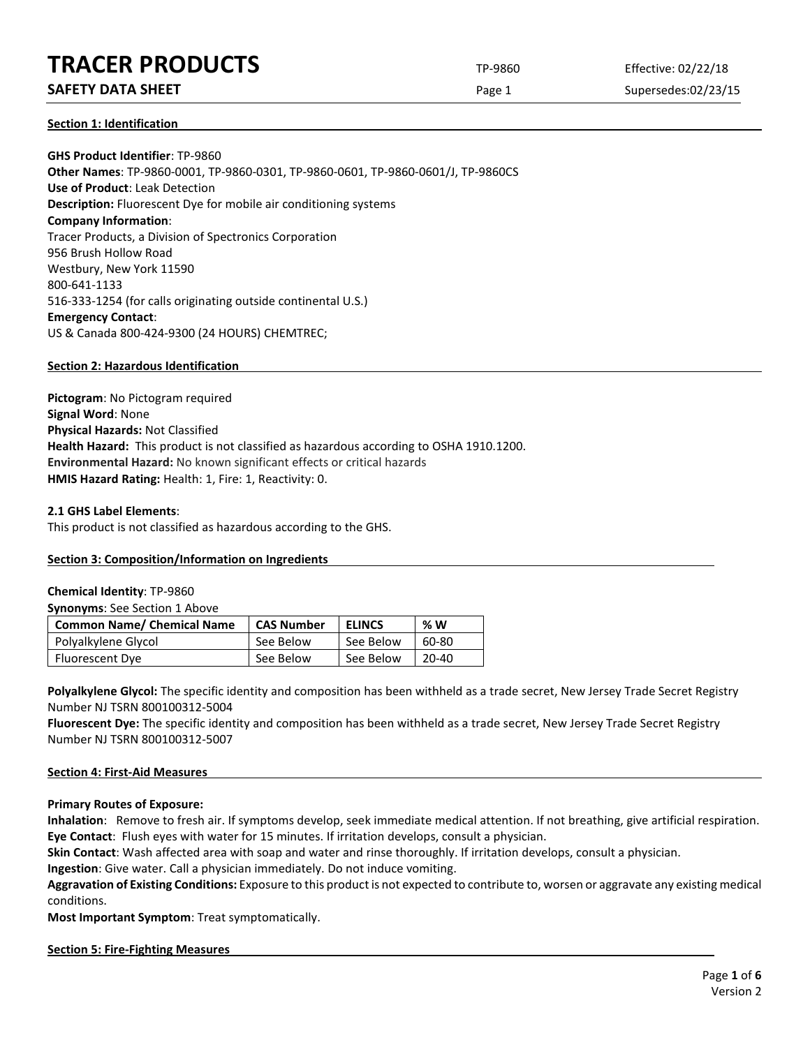# **TRACER PRODUCTS** TP-9860 Effective: 02/22/18

# **SAFETY DATA SHEET** SUPERFOUR CONSUMING THE Page 1 Supersedes:02/23/15

## **Section 1: Identification**

**GHS Product Identifier**: TP-9860 **Other Names**: TP-9860-0001, TP-9860-0301, TP-9860-0601, TP-9860-0601/J, TP-9860CS **Use of Product**: Leak Detection **Description:** Fluorescent Dye for mobile air conditioning systems **Company Information**: Tracer Products, a Division of Spectronics Corporation 956 Brush Hollow Road Westbury, New York 11590 800-641-1133 516-333-1254 (for calls originating outside continental U.S.) **Emergency Contact**: US & Canada 800-424-9300 (24 HOURS) CHEMTREC;

## **Section 2: Hazardous Identification**

**Pictogram**: No Pictogram required **Signal Word**: None **Physical Hazards:** Not Classified **Health Hazard:** This product is not classified as hazardous according to OSHA 1910.1200. **Environmental Hazard:** No known significant effects or critical hazards **HMIS Hazard Rating:** Health: 1, Fire: 1, Reactivity: 0.

## **2.1 GHS Label Elements**:

This product is not classified as hazardous according to the GHS.

# **Section 3: Composition/Information on Ingredients**

## **Chemical Identity**: TP-9860

**Synonyms**: See Section 1 Above

| <b>Common Name/ Chemical Name</b> | <b>CAS Number</b> | <b>ELINCS</b> | %W    |
|-----------------------------------|-------------------|---------------|-------|
| Polyalkylene Glycol               | See Below         | See Below     | 60-80 |
| Fluorescent Dye                   | See Below         | See Below     | 20-40 |

Polyalkylene Glycol: The specific identity and composition has been withheld as a trade secret, New Jersey Trade Secret Registry Number NJ TSRN 800100312-5004

**Fluorescent Dye:** The specific identity and composition has been withheld as a trade secret, New Jersey Trade Secret Registry Number NJ TSRN 800100312-5007

## **Section 4: First-Aid Measures**

**Primary Routes of Exposure:**

**Inhalation**: Remove to fresh air. If symptoms develop, seek immediate medical attention. If not breathing, give artificial respiration. **Eye Contact**: Flush eyes with water for 15 minutes. If irritation develops, consult a physician.

**Skin Contact**: Wash affected area with soap and water and rinse thoroughly. If irritation develops, consult a physician.

**Ingestion**: Give water. Call a physician immediately. Do not induce vomiting.

**Aggravation of Existing Conditions:** Exposure to this product is not expected to contribute to, worsen or aggravate any existing medical conditions.

**Most Important Symptom**: Treat symptomatically.

## **Section 5: Fire-Fighting Measures**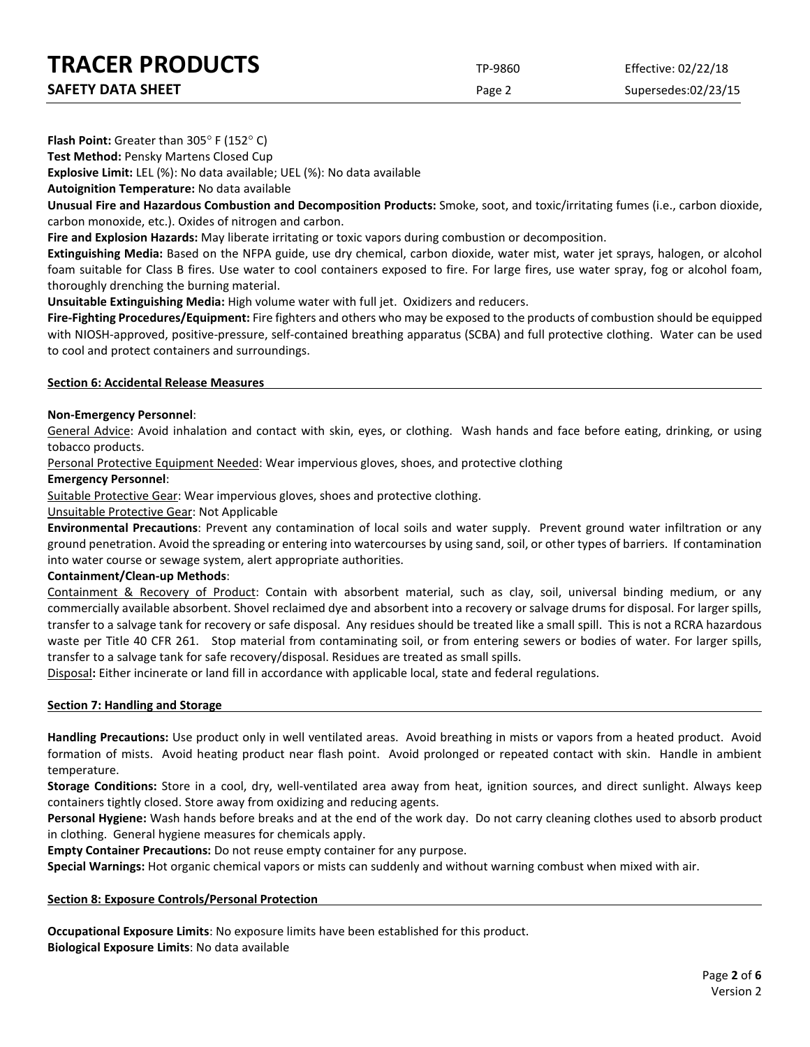**TRACER PRODUCTS** TP-9860 Effective: 02/22/18

| <b>SAFETY DATA SHEET</b> |  |
|--------------------------|--|
|                          |  |

Page 2 Supersedes:02/23/15

**Flash Point:** Greater than 305° F (152° C)

**Test Method:** Pensky Martens Closed Cup

**Explosive Limit:** LEL (%): No data available; UEL (%): No data available

**Autoignition Temperature:** No data available

**Unusual Fire and Hazardous Combustion and Decomposition Products:** Smoke, soot, and toxic/irritating fumes (i.e., carbon dioxide, carbon monoxide, etc.). Oxides of nitrogen and carbon.

**Fire and Explosion Hazards:** May liberate irritating or toxic vapors during combustion or decomposition.

**Extinguishing Media:** Based on the NFPA guide, use dry chemical, carbon dioxide, water mist, water jet sprays, halogen, or alcohol foam suitable for Class B fires. Use water to cool containers exposed to fire. For large fires, use water spray, fog or alcohol foam, thoroughly drenching the burning material.

**Unsuitable Extinguishing Media:** High volume water with full jet. Oxidizers and reducers.

**Fire-Fighting Procedures/Equipment:** Fire fighters and others who may be exposed to the products of combustion should be equipped with NIOSH-approved, positive-pressure, self-contained breathing apparatus (SCBA) and full protective clothing. Water can be used to cool and protect containers and surroundings.

## **Section 6: Accidental Release Measures**

## **Non-Emergency Personnel**:

General Advice: Avoid inhalation and contact with skin, eyes, or clothing. Wash hands and face before eating, drinking, or using tobacco products.

Personal Protective Equipment Needed: Wear impervious gloves, shoes, and protective clothing

## **Emergency Personnel**:

Suitable Protective Gear: Wear impervious gloves, shoes and protective clothing.

## Unsuitable Protective Gear: Not Applicable

**Environmental Precautions**: Prevent any contamination of local soils and water supply. Prevent ground water infiltration or any ground penetration. Avoid the spreading or entering into watercourses by using sand, soil, or other types of barriers. If contamination into water course or sewage system, alert appropriate authorities.

# **Containment/Clean-up Methods**:

Containment & Recovery of Product: Contain with absorbent material, such as clay, soil, universal binding medium, or any commercially available absorbent. Shovel reclaimed dye and absorbent into a recovery or salvage drums for disposal. For larger spills, transfer to a salvage tank for recovery or safe disposal. Any residues should be treated like a small spill. This is not a RCRA hazardous waste per Title 40 CFR 261. Stop material from contaminating soil, or from entering sewers or bodies of water. For larger spills, transfer to a salvage tank for safe recovery/disposal. Residues are treated as small spills.

Disposal**:** Either incinerate or land fill in accordance with applicable local, state and federal regulations.

# **Section 7: Handling and Storage**

**Handling Precautions:** Use product only in well ventilated areas. Avoid breathing in mists or vapors from a heated product. Avoid formation of mists. Avoid heating product near flash point. Avoid prolonged or repeated contact with skin. Handle in ambient temperature.

**Storage Conditions:** Store in a cool, dry, well-ventilated area away from heat, ignition sources, and direct sunlight. Always keep containers tightly closed. Store away from oxidizing and reducing agents.

**Personal Hygiene:** Wash hands before breaks and at the end of the work day. Do not carry cleaning clothes used to absorb product in clothing. General hygiene measures for chemicals apply.

**Empty Container Precautions:** Do not reuse empty container for any purpose.

**Special Warnings:** Hot organic chemical vapors or mists can suddenly and without warning combust when mixed with air.

# **Section 8: Exposure Controls/Personal Protection**

**Occupational Exposure Limits**: No exposure limits have been established for this product. **Biological Exposure Limits**: No data available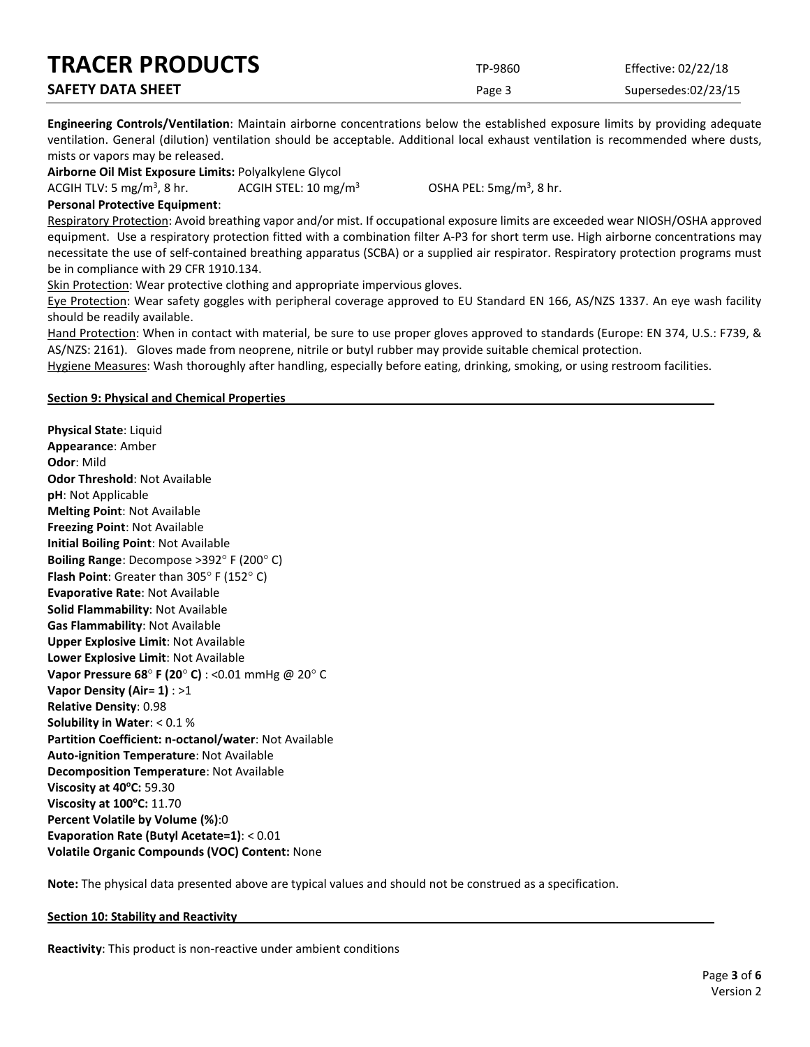| <b>TRACER PRODUCTS</b>   | TP-9860 | Effective: 02/22/18 |
|--------------------------|---------|---------------------|
| <b>SAFETY DATA SHEET</b> | Page 3  | Supersedes:02/23/15 |

**Engineering Controls/Ventilation**: Maintain airborne concentrations below the established exposure limits by providing adequate ventilation. General (dilution) ventilation should be acceptable. Additional local exhaust ventilation is recommended where dusts, mists or vapors may be released.

**Airborne Oil Mist Exposure Limits:** Polyalkylene Glycol

ACGIH TLV: 5 mg/m<sup>3</sup>, 8 hr. ACGIH STEL:  $10 \text{ mg/m}^3$  OSHA PEL:  $5mg/m<sup>3</sup>$ , 8 hr.

**Personal Protective Equipment**:

Respiratory Protection: Avoid breathing vapor and/or mist. If occupational exposure limits are exceeded wear NIOSH/OSHA approved equipment. Use a respiratory protection fitted with a combination filter A-P3 for short term use. High airborne concentrations may necessitate the use of self-contained breathing apparatus (SCBA) or a supplied air respirator. Respiratory protection programs must be in compliance with 29 CFR 1910.134.

Skin Protection: Wear protective clothing and appropriate impervious gloves.

Eye Protection: Wear safety goggles with peripheral coverage approved to EU Standard EN 166, AS/NZS 1337. An eye wash facility should be readily available.

Hand Protection: When in contact with material, be sure to use proper gloves approved to standards (Europe: EN 374, U.S.: F739, & AS/NZS: 2161). Gloves made from neoprene, nitrile or butyl rubber may provide suitable chemical protection.

Hygiene Measures: Wash thoroughly after handling, especially before eating, drinking, smoking, or using restroom facilities.

# **Section 9: Physical and Chemical Properties**

**Physical State**: Liquid **Appearance**: Amber **Odor**: Mild **Odor Threshold**: Not Available **pH**: Not Applicable **Melting Point**: Not Available **Freezing Point**: Not Available **Initial Boiling Point**: Not Available **Boiling Range**: Decompose >392° F (200° C) **Flash Point**: Greater than 305° F (152° C) **Evaporative Rate**: Not Available **Solid Flammability**: Not Available **Gas Flammability**: Not Available **Upper Explosive Limit**: Not Available **Lower Explosive Limit**: Not Available **Vapor Pressure 68**° **F (20**° **C)** : <0.01 mmHg @ 20° C **Vapor Density (Air= 1)** : >1 **Relative Density**: 0.98 **Solubility in Water**: < 0.1 % **Partition Coefficient: n-octanol/water**: Not Available **Auto-ignition Temperature**: Not Available **Decomposition Temperature**: Not Available **Viscosity at 40°C: 59.30 Viscosity at 100°C:** 11.70 **Percent Volatile by Volume (%)**:0 **Evaporation Rate (Butyl Acetate=1)**: < 0.01 **Volatile Organic Compounds (VOC) Content:** None

**Note:** The physical data presented above are typical values and should not be construed as a specification.

# **Section 10: Stability and Reactivity**

**Reactivity**: This product is non-reactive under ambient conditions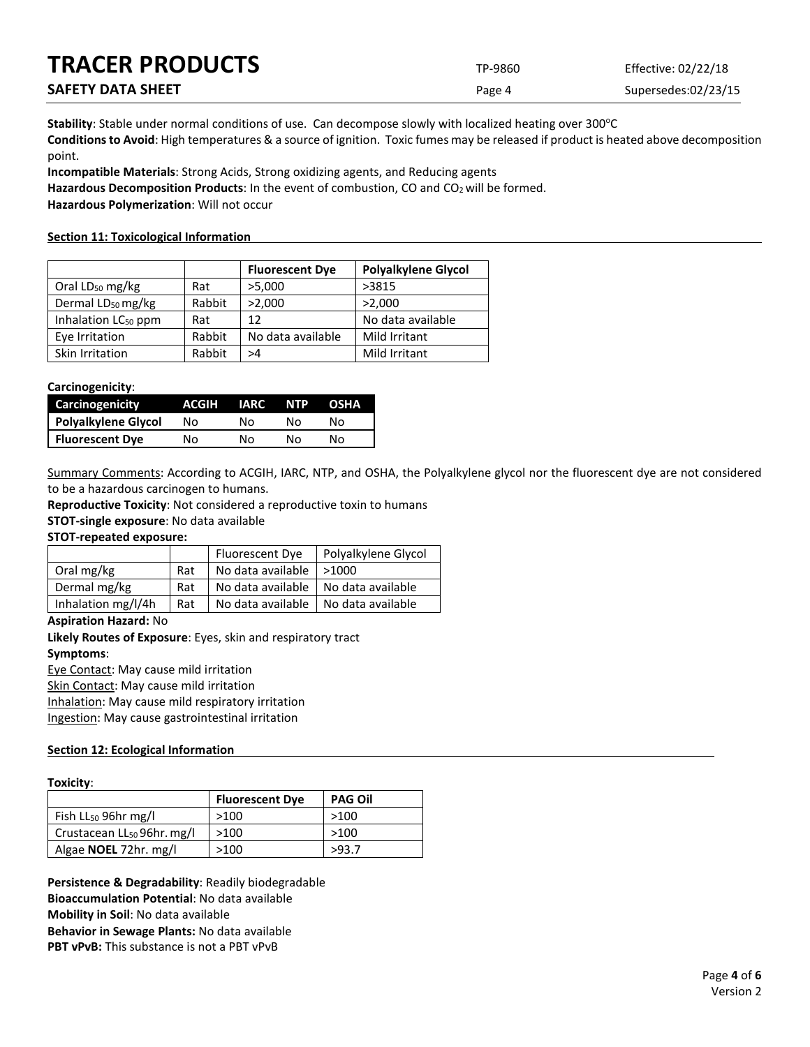| <b>TRACER PRODUCTS</b>   | TP-9860 | Effective: 02/22/18 |
|--------------------------|---------|---------------------|
| <b>SAFETY DATA SHEET</b> | Page 4  | Supersedes:02/23/15 |

Stability: Stable under normal conditions of use. Can decompose slowly with localized heating over 300°C **Conditions to Avoid**: High temperatures & a source of ignition. Toxic fumes may be released if product is heated above decomposition point.

**Incompatible Materials**: Strong Acids, Strong oxidizing agents, and Reducing agents

Hazardous Decomposition Products: In the event of combustion, CO and CO<sub>2</sub> will be formed.

**Hazardous Polymerization**: Will not occur

# **Section 11: Toxicological Information**

|                                 |        | <b>Fluorescent Dye</b> | <b>Polyalkylene Glycol</b> |
|---------------------------------|--------|------------------------|----------------------------|
| Oral $LD_{50}$ mg/kg            | Rat    | >5,000                 | >3815                      |
| Dermal LD <sub>50</sub> mg/kg   | Rabbit | >2,000                 | >2,000                     |
| Inhalation LC <sub>50</sub> ppm | Rat    | 12                     | No data available          |
| Eye Irritation                  | Rabbit | No data available      | Mild Irritant              |
| Skin Irritation                 | Rabbit | >4                     | Mild Irritant              |

## **Carcinogenicity**:

| Carcinogenicity        | ACGIH | <b>IARC</b> | <b>NTP</b> | <b>OSHA</b> |
|------------------------|-------|-------------|------------|-------------|
| Polyalkylene Glycol    | Nο    | N٥          | N٥         | N٥          |
| <b>Fluorescent Dye</b> | Nο    | N٥          | N٥         | N٥          |

Summary Comments: According to ACGIH, IARC, NTP, and OSHA, the Polyalkylene glycol nor the fluorescent dye are not considered to be a hazardous carcinogen to humans.

**Reproductive Toxicity**: Not considered a reproductive toxin to humans

**STOT-single exposure**: No data available

# **STOT-repeated exposure:**

|                    |     | Fluorescent Dye                       | Polyalkylene Glycol |
|--------------------|-----|---------------------------------------|---------------------|
| Oral mg/kg         | Rat | No data available                     | $\geq 1000$         |
| Dermal mg/kg       | Rat | No data available   No data available |                     |
| Inhalation mg/l/4h | Rat | No data available                     | No data available   |

## **Aspiration Hazard:** No

**Likely Routes of Exposure**: Eyes, skin and respiratory tract **Symptoms**:

Eye Contact: May cause mild irritation Skin Contact: May cause mild irritation

Inhalation: May cause mild respiratory irritation

Ingestion: May cause gastrointestinal irritation

# **Section 12: Ecological Information**

## **Toxicity**:

|                                        | <b>Fluorescent Dye</b> | <b>PAG Oil</b> |
|----------------------------------------|------------------------|----------------|
| Fish LL <sub>50</sub> 96hr mg/l        | >100                   | >100           |
| Crustacean LL <sub>50</sub> 96hr. mg/l | >100                   | >100           |
| Algae <b>NOEL</b> 72hr. mg/l           | >100                   | >93.7          |

**Persistence & Degradability**: Readily biodegradable **Bioaccumulation Potential**: No data available **Mobility in Soil**: No data available **Behavior in Sewage Plants:** No data available **PBT vPvB:** This substance is not a PBT vPvB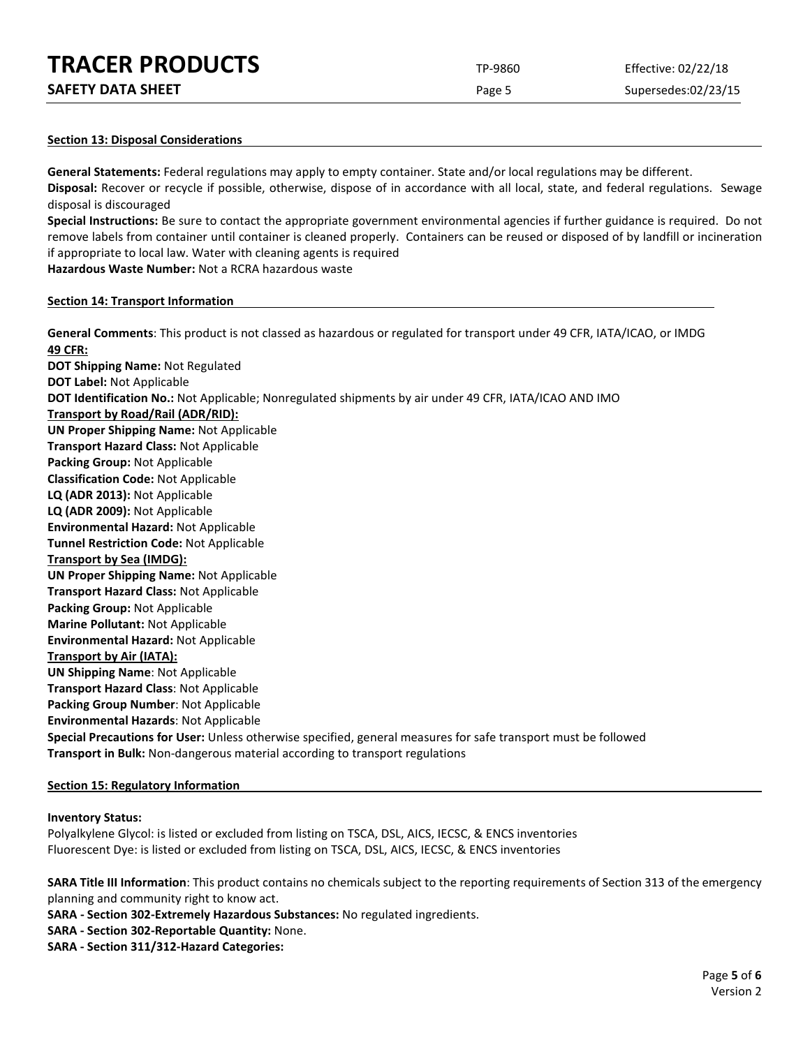| <b>TRACER PRODUCTS</b> | TP-9860 | Effective: 02/22/18 |
|------------------------|---------|---------------------|
|                        |         |                     |

| <b>SAFETY DATA SHEET</b> |
|--------------------------|
|--------------------------|

Page 5 Supersedes:02/23/15

## **Section 13: Disposal Considerations**

**General Statements:** Federal regulations may apply to empty container. State and/or local regulations may be different. **Disposal:** Recover or recycle if possible, otherwise, dispose of in accordance with all local, state, and federal regulations. Sewage disposal is discouraged

**Special Instructions:** Be sure to contact the appropriate government environmental agencies if further guidance is required. Do not remove labels from container until container is cleaned properly. Containers can be reused or disposed of by landfill or incineration if appropriate to local law. Water with cleaning agents is required

**Hazardous Waste Number:** Not a RCRA hazardous waste

## **Section 14: Transport Information**

**General Comments**: This product is not classed as hazardous or regulated for transport under 49 CFR, IATA/ICAO, or IMDG **49 CFR: DOT Shipping Name:** Not Regulated **DOT Label:** Not Applicable **DOT Identification No.:** Not Applicable; Nonregulated shipments by air under 49 CFR, IATA/ICAO AND IMO **Transport by Road/Rail (ADR/RID): UN Proper Shipping Name:** Not Applicable **Transport Hazard Class:** Not Applicable **Packing Group:** Not Applicable **Classification Code:** Not Applicable **LQ (ADR 2013):** Not Applicable **LQ (ADR 2009):** Not Applicable **Environmental Hazard:** Not Applicable **Tunnel Restriction Code:** Not Applicable **Transport by Sea (IMDG): UN Proper Shipping Name:** Not Applicable **Transport Hazard Class:** Not Applicable **Packing Group:** Not Applicable **Marine Pollutant:** Not Applicable **Environmental Hazard:** Not Applicable **Transport by Air (IATA): UN Shipping Name**: Not Applicable **Transport Hazard Class**: Not Applicable **Packing Group Number**: Not Applicable **Environmental Hazards**: Not Applicable **Special Precautions for User:** Unless otherwise specified, general measures for safe transport must be followed **Transport in Bulk:** Non-dangerous material according to transport regulations

# **Section 15: Regulatory Information**

## **Inventory Status:**

Polyalkylene Glycol: is listed or excluded from listing on TSCA, DSL, AICS, IECSC, & ENCS inventories Fluorescent Dye: is listed or excluded from listing on TSCA, DSL, AICS, IECSC, & ENCS inventories

**SARA Title III Information**: This product contains no chemicals subject to the reporting requirements of Section 313 of the emergency planning and community right to know act.

**SARA - Section 302-Extremely Hazardous Substances:** No regulated ingredients.

- **SARA - Section 302-Reportable Quantity:** None.
- **SARA - Section 311/312-Hazard Categories:**